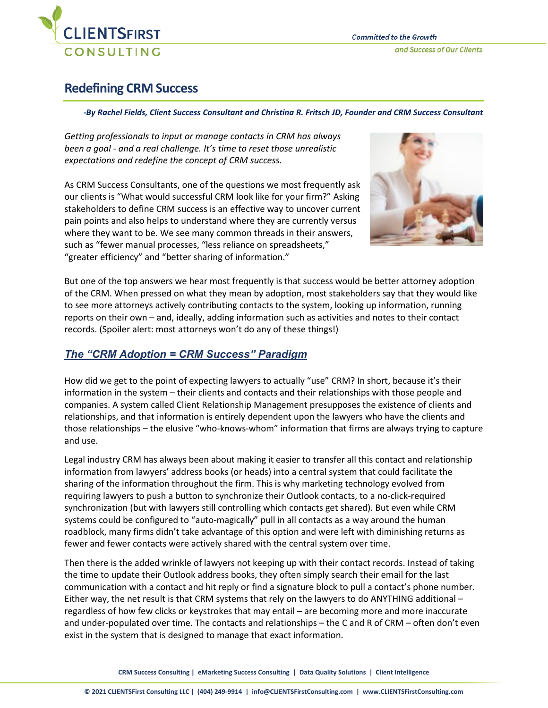

# **Redefining CRM Success**

#### *-By Rachel Fields, Client Success Consultant and Christina R. Fritsch JD, Founder and CRM Success Consultant*

*Getting professionals to input or manage contacts in CRM has always been a goal - and a real challenge. It's time to reset those unrealistic expectations and redefine the concept of CRM success.*

As CRM Success Consultants, one of the questions we most frequently ask our clients is "What would successful CRM look like for your firm?" Asking stakeholders to define CRM success is an effective way to uncover current pain points and also helps to understand where they are currently versus where they want to be. We see many common threads in their answers, such as "fewer manual processes, "less reliance on spreadsheets," "greater efficiency" and "better sharing of information."



But one of the top answers we hear most frequently is that success would be better attorney adoption of the CRM. When pressed on what they mean by adoption, most stakeholders say that they would like to see more attorneys actively contributing contacts to the system, looking up information, running reports on their own – and, ideally, adding information such as activities and notes to their contact records. (Spoiler alert: most attorneys won't do any of these things!)

## *The "CRM Adoption = CRM Success" Paradigm*

How did we get to the point of expecting lawyers to actually "use" CRM? In short, because it's their information in the system – their clients and contacts and their relationships with those people and companies. A system called Client Relationship Management presupposes the existence of clients and relationships, and that information is entirely dependent upon the lawyers who have the clients and those relationships – the elusive "who-knows-whom" information that firms are always trying to capture and use.

Legal industry CRM has always been about making it easier to transfer all this contact and relationship information from lawyers' address books (or heads) into a central system that could facilitate the sharing of the information throughout the firm. This is why marketing technology evolved from requiring lawyers to push a button to synchronize their Outlook contacts, to a no-click-required synchronization (but with lawyers still controlling which contacts get shared). But even while CRM systems could be configured to "auto-magically" pull in all contacts as a way around the human roadblock, many firms didn't take advantage of this option and were left with diminishing returns as fewer and fewer contacts were actively shared with the central system over time.

Then there is the added wrinkle of lawyers not keeping up with their contact records. Instead of taking the time to update their Outlook address books, they often simply search their email for the last communication with a contact and hit reply or find a signature block to pull a contact's phone number. Either way, the net result is that CRM systems that rely on the lawyers to do ANYTHING additional – regardless of how few clicks or keystrokes that may entail – are becoming more and more inaccurate and under-populated over time. The contacts and relationships – the C and R of CRM – often don't even exist in the system that is designed to manage that exact information.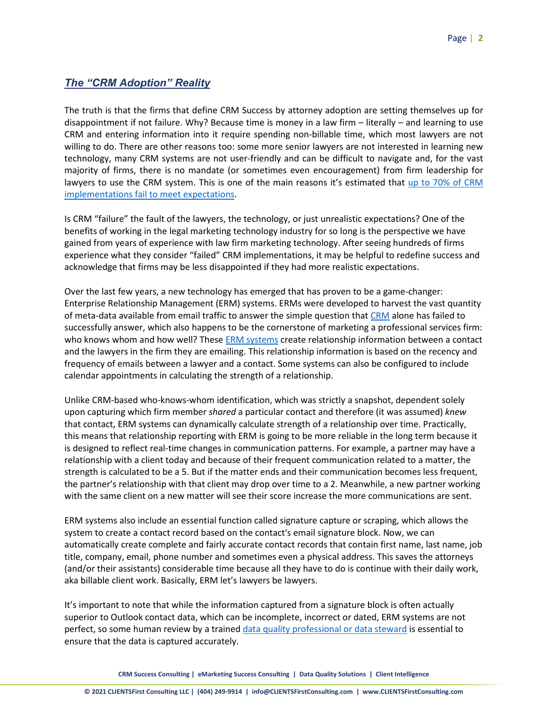## *The "CRM Adoption" Reality*

The truth is that the firms that define CRM Success by attorney adoption are setting themselves up for disappointment if not failure. Why? Because time is money in a law firm – literally – and learning to use CRM and entering information into it require spending non-billable time, which most lawyers are not willing to do. There are other reasons too: some more senior lawyers are not interested in learning new technology, many CRM systems are not user-friendly and can be difficult to navigate and, for the vast majority of firms, there is no mandate (or sometimes even encouragement) from firm leadership for lawyers to use the CRM system. This is one of the main reasons it's estimated that [up to 70% of CRM](https://hbr.org/2018/12/why-crm-projects-fail-and-how-to-make-them-more-successful)  [implementations fail to meet expectations.](https://hbr.org/2018/12/why-crm-projects-fail-and-how-to-make-them-more-successful)

Is CRM "failure" the fault of the lawyers, the technology, or just unrealistic expectations? One of the benefits of working in the legal marketing technology industry for so long is the perspective we have gained from years of experience with law firm marketing technology. After seeing hundreds of firms experience what they consider "failed" CRM implementations, it may be helpful to redefine success and acknowledge that firms may be less disappointed if they had more realistic expectations.

Over the last few years, a new technology has emerged that has proven to be a game-changer: Enterprise Relationship Management (ERM) systems. ERMs were developed to harvest the vast quantity of meta-data available from email traffic to answer the simple question that [CRM](https://clientsfirstconsulting.com/services/client-relationship-management/) alone has failed to successfully answer, which also happens to be the cornerstone of marketing a professional services firm: who knows whom and how well? These [ERM systems](https://clientsfirstconsulting.com/services/system-experience-expertise/) create relationship information between a contact and the lawyers in the firm they are emailing. This relationship information is based on the recency and frequency of emails between a lawyer and a contact. Some systems can also be configured to include calendar appointments in calculating the strength of a relationship.

Unlike CRM-based who-knows-whom identification, which was strictly a snapshot, dependent solely upon capturing which firm member *shared* a particular contact and therefore (it was assumed) *knew* that contact, ERM systems can dynamically calculate strength of a relationship over time. Practically, this means that relationship reporting with ERM is going to be more reliable in the long term because it is designed to reflect real-time changes in communication patterns. For example, a partner may have a relationship with a client today and because of their frequent communication related to a matter, the strength is calculated to be a 5. But if the matter ends and their communication becomes less frequent, the partner's relationship with that client may drop over time to a 2. Meanwhile, a new partner working with the same client on a new matter will see their score increase the more communications are sent.

ERM systems also include an essential function called signature capture or scraping, which allows the system to create a contact record based on the contact's email signature block. Now, we can automatically create complete and fairly accurate contact records that contain first name, last name, job title, company, email, phone number and sometimes even a physical address. This saves the attorneys (and/or their assistants) considerable time because all they have to do is continue with their daily work, aka billable client work. Basically, ERM let's lawyers be lawyers.

It's important to note that while the information captured from a signature block is often actually superior to Outlook contact data, which can be incomplete, incorrect or dated, ERM systems are not perfect, so some human review by a trained [data quality professional or data steward](https://clientsfirstconsulting.com/services/true-dq-data-quality-solution/) is essential to ensure that the data is captured accurately.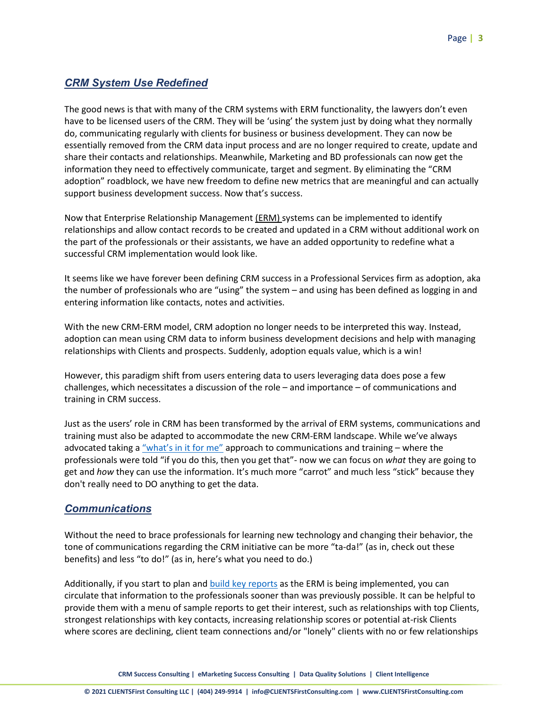# *CRM System Use Redefined*

The good news is that with many of the CRM systems with ERM functionality, the lawyers don't even have to be licensed users of the CRM. They will be 'using' the system just by doing what they normally do, communicating regularly with clients for business or business development. They can now be essentially removed from the CRM data input process and are no longer required to create, update and share their contacts and relationships. Meanwhile, Marketing and BD professionals can now get the information they need to effectively communicate, target and segment. By eliminating the "CRM adoption" roadblock, we have new freedom to define new metrics that are meaningful and can actually support business development success. Now that's success.

Now that Enterprise Relationship Management (ERM) systems can be implemented to identify relationships and allow contact records to be created and updated in a CRM without additional work on the part of the professionals or their assistants, we have an added opportunity to redefine what a successful CRM implementation would look like.

It seems like we have forever been defining CRM success in a Professional Services firm as adoption, aka the number of professionals who are "using" the system – and using has been defined as logging in and entering information like contacts, notes and activities.

With the new CRM-ERM model, CRM adoption no longer needs to be interpreted this way. Instead, adoption can mean using CRM data to inform business development decisions and help with managing relationships with Clients and prospects. Suddenly, adoption equals value, which is a win!

However, this paradigm shift from users entering data to users leveraging data does pose a few challenges, which necessitates a discussion of the role – and importance – of communications and training in CRM success.

Just as the users' role in CRM has been transformed by the arrival of ERM systems, communications and training must also be adapted to accommodate the new CRM-ERM landscape. While we've always advocated taking a ["what's in it for me"](https://clientsfirstconsulting.com/when-attorneys-ask-whats-in-it-crm-for-me/) approach to communications and training  $-$  where the professionals were told "if you do this, then you get that"- now we can focus on *what* they are going to get and *how* they can use the information. It's much more "carrot" and much less "stick" because they don't really need to DO anything to get the data.

#### *Communications*

Without the need to brace professionals for learning new technology and changing their behavior, the tone of communications regarding the CRM initiative can be more "ta-da!" (as in, check out these benefits) and less "to do!" (as in, here's what you need to do.)

Additionally, if you start to plan and [build key reports](https://clientsfirstconsulting.com/12-reports-to-boost-crm-adoption-and-roi/) as the ERM is being implemented, you can circulate that information to the professionals sooner than was previously possible. It can be helpful to provide them with a menu of sample reports to get their interest, such as relationships with top Clients, strongest relationships with key contacts, increasing relationship scores or potential at-risk Clients where scores are declining, client team connections and/or "lonely" clients with no or few relationships